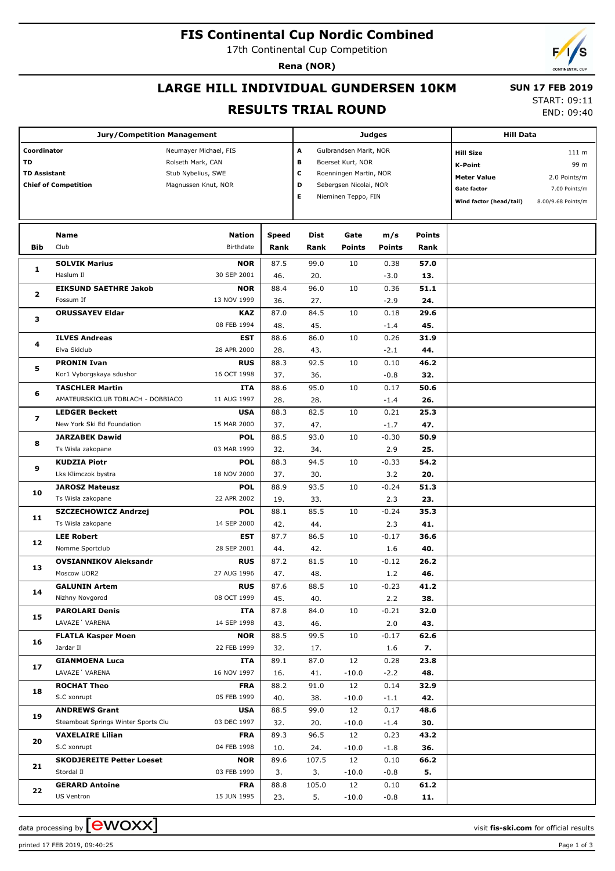# **FIS Continental Cup Nordic Combined**

17th Continental Cup Competition

**Rena (NOR)**

# **LARGE HILL INDIVIDUAL GUNDERSEN 10KM**

# **SUN 17 FEB 2019**

#### **RESULTS TRIAL ROUND**

START: 09:11 END: 09:40

| <b>Jury/Competition Management</b>                                      |                                     |                                                                                         |                                                                                                                                                 |       |                                                                                                           | <b>Judges</b>                                                        | <b>Hill Data</b> |  |  |
|-------------------------------------------------------------------------|-------------------------------------|-----------------------------------------------------------------------------------------|-------------------------------------------------------------------------------------------------------------------------------------------------|-------|-----------------------------------------------------------------------------------------------------------|----------------------------------------------------------------------|------------------|--|--|
| Coordinator<br>TD<br><b>TD Assistant</b><br><b>Chief of Competition</b> |                                     | Neumayer Michael, FIS<br>Rolseth Mark, CAN<br>Stub Nybelius, SWE<br>Magnussen Knut, NOR | A<br>Gulbrandsen Marit, NOR<br>в<br>Boerset Kurt, NOR<br>c<br>Roenningen Martin, NOR<br>D<br>Sebergsen Nicolai, NOR<br>Е<br>Nieminen Teppo, FIN |       | <b>Hill Size</b><br><b>K-Point</b><br><b>Meter Value</b><br><b>Gate factor</b><br>Wind factor (head/tail) | 111 m<br>99 m<br>2.0 Points/m<br>7.00 Points/m<br>8.00/9.68 Points/m |                  |  |  |
|                                                                         | Name                                | <b>Nation</b>                                                                           | <b>Speed</b>                                                                                                                                    | Dist  | Gate                                                                                                      | m/s                                                                  | <b>Points</b>    |  |  |
| <b>Bib</b>                                                              | Club                                | Birthdate                                                                               | Rank                                                                                                                                            | Rank  | <b>Points</b>                                                                                             | <b>Points</b>                                                        | Rank             |  |  |
|                                                                         | <b>SOLVIK Marius</b>                | <b>NOR</b>                                                                              | 87.5                                                                                                                                            | 99.0  | 10                                                                                                        | 0.38                                                                 | 57.0             |  |  |
| 1                                                                       | Haslum II                           | 30 SEP 2001                                                                             | 46.                                                                                                                                             | 20.   |                                                                                                           | $-3.0$                                                               | 13.              |  |  |
|                                                                         | <b>EIKSUND SAETHRE Jakob</b>        | <b>NOR</b>                                                                              | 88.4                                                                                                                                            | 96.0  | 10                                                                                                        | 0.36                                                                 | 51.1             |  |  |
| $\mathbf{2}$                                                            | Fossum If                           | 13 NOV 1999                                                                             | 36.                                                                                                                                             | 27.   |                                                                                                           | $-2.9$                                                               | 24.              |  |  |
|                                                                         | <b>ORUSSAYEV Eldar</b>              | <b>KAZ</b>                                                                              | 87.0                                                                                                                                            | 84.5  | 10                                                                                                        | 0.18                                                                 | 29.6             |  |  |
| з                                                                       |                                     | 08 FEB 1994                                                                             | 48.                                                                                                                                             | 45.   |                                                                                                           | $-1.4$                                                               | 45.              |  |  |
| 4                                                                       | <b>ILVES Andreas</b>                | <b>EST</b>                                                                              | 88.6                                                                                                                                            | 86.0  | 10                                                                                                        | 0.26                                                                 | 31.9             |  |  |
|                                                                         | Elva Skiclub                        | 28 APR 2000                                                                             | 28.                                                                                                                                             | 43.   |                                                                                                           | $-2.1$                                                               | 44.              |  |  |
| 5                                                                       | <b>PRONIN Ivan</b>                  | <b>RUS</b>                                                                              | 88.3                                                                                                                                            | 92.5  | 10                                                                                                        | 0.10                                                                 | 46.2             |  |  |
|                                                                         | Kor1 Vyborgskaya sdushor            | 16 OCT 1998                                                                             | 37.                                                                                                                                             | 36.   |                                                                                                           | $-0.8$                                                               | 32.              |  |  |
| 6                                                                       | <b>TASCHLER Martin</b>              | ITA                                                                                     | 88.6                                                                                                                                            | 95.0  | 10                                                                                                        | 0.17                                                                 | 50.6             |  |  |
|                                                                         | AMATEURSKICLUB TOBLACH - DOBBIACO   | 11 AUG 1997                                                                             | 28.                                                                                                                                             | 28.   |                                                                                                           | $-1.4$                                                               | 26.              |  |  |
| $\overline{\mathbf{z}}$                                                 | <b>LEDGER Beckett</b>               | <b>USA</b>                                                                              | 88.3                                                                                                                                            | 82.5  | 10                                                                                                        | 0.21                                                                 | 25.3             |  |  |
|                                                                         | New York Ski Ed Foundation          | 15 MAR 2000                                                                             | 37.                                                                                                                                             | 47.   |                                                                                                           | $-1.7$                                                               | 47.              |  |  |
| 8                                                                       | <b>JARZABEK Dawid</b>               | <b>POL</b>                                                                              | 88.5                                                                                                                                            | 93.0  | 10                                                                                                        | $-0.30$                                                              | 50.9             |  |  |
|                                                                         | Ts Wisla zakopane                   | 03 MAR 1999                                                                             | 32.                                                                                                                                             | 34.   |                                                                                                           | 2.9                                                                  | 25.              |  |  |
|                                                                         | <b>KUDZIA Piotr</b>                 | <b>POL</b>                                                                              | 88.3                                                                                                                                            | 94.5  | 10                                                                                                        | $-0.33$                                                              | 54.2             |  |  |
| 9                                                                       | Lks Klimczok bystra                 | 18 NOV 2000                                                                             | 37.                                                                                                                                             | 30.   |                                                                                                           | 3.2                                                                  | 20.              |  |  |
|                                                                         | <b>JAROSZ Mateusz</b>               | <b>POL</b>                                                                              | 88.9                                                                                                                                            | 93.5  | 10                                                                                                        | $-0.24$                                                              | 51.3             |  |  |
| 10                                                                      | Ts Wisla zakopane                   | 22 APR 2002                                                                             | 19.                                                                                                                                             | 33.   |                                                                                                           | 2.3                                                                  | 23.              |  |  |
|                                                                         | SZCZECHOWICZ Andrzej                | <b>POL</b>                                                                              | 88.1                                                                                                                                            | 85.5  | 10                                                                                                        | $-0.24$                                                              | 35.3             |  |  |
| 11                                                                      | Ts Wisla zakopane                   | 14 SEP 2000                                                                             | 42.                                                                                                                                             | 44.   |                                                                                                           | 2.3                                                                  | 41.              |  |  |
| 12                                                                      | <b>LEE Robert</b>                   | <b>EST</b>                                                                              | 87.7                                                                                                                                            | 86.5  | 10                                                                                                        | $-0.17$                                                              | 36.6             |  |  |
|                                                                         | Nomme Sportclub                     | 28 SEP 2001                                                                             | 44.                                                                                                                                             | 42.   |                                                                                                           | 1.6                                                                  | 40.              |  |  |
| 13                                                                      | <b>OVSIANNIKOV Aleksandr</b>        | <b>RUS</b>                                                                              | 87.2                                                                                                                                            | 81.5  | 10                                                                                                        | $-0.12$                                                              | 26.2             |  |  |
|                                                                         | Moscow UOR2                         | 27 AUG 1996                                                                             | 47.                                                                                                                                             | 48.   |                                                                                                           | 1.2                                                                  | 46.              |  |  |
| 14                                                                      | <b>GALUNIN Artem</b>                | <b>RUS</b>                                                                              | 87.6                                                                                                                                            | 88.5  | 10                                                                                                        | $-0.23$                                                              | 41.2             |  |  |
|                                                                         | Nizhny Novgorod                     | 08 OCT 1999                                                                             | 45.                                                                                                                                             | 40.   |                                                                                                           | 2.2                                                                  | 38.              |  |  |
| 15                                                                      | <b>PAROLARI Denis</b>               | ITA                                                                                     | 87.8                                                                                                                                            | 84.0  | 10                                                                                                        | $-0.21$                                                              | 32.0             |  |  |
|                                                                         | LAVAZE' VARENA                      | 14 SEP 1998                                                                             | 43.                                                                                                                                             | 46.   |                                                                                                           | 2.0                                                                  | 43.              |  |  |
| 16                                                                      | <b>FLATLA Kasper Moen</b>           | <b>NOR</b>                                                                              | 88.5                                                                                                                                            | 99.5  | 10                                                                                                        | $-0.17$                                                              | 62.6             |  |  |
|                                                                         | Jardar II                           | 22 FEB 1999                                                                             | 32.                                                                                                                                             | 17.   |                                                                                                           | 1.6                                                                  | 7.               |  |  |
| 17                                                                      | <b>GIANMOENA Luca</b>               | ITA                                                                                     | 89.1                                                                                                                                            | 87.0  | 12                                                                                                        | 0.28                                                                 | 23.8             |  |  |
|                                                                         | LAVAZE' VARENA                      | 16 NOV 1997                                                                             | 16.                                                                                                                                             | 41.   | $-10.0$                                                                                                   | $-2.2$                                                               | 48.              |  |  |
| 18                                                                      | <b>ROCHAT Theo</b>                  | <b>FRA</b>                                                                              | 88.2                                                                                                                                            | 91.0  | 12                                                                                                        | 0.14                                                                 | 32.9             |  |  |
|                                                                         | S.C xonrupt                         | 05 FEB 1999                                                                             | 40.                                                                                                                                             | 38.   | $-10.0$                                                                                                   | $-1.1$                                                               | 42.              |  |  |
| 19                                                                      | <b>ANDREWS Grant</b>                | <b>USA</b>                                                                              | 88.5                                                                                                                                            | 99.0  | 12                                                                                                        | 0.17                                                                 | 48.6             |  |  |
|                                                                         | Steamboat Springs Winter Sports Clu | 03 DEC 1997                                                                             | 32.                                                                                                                                             | 20.   | $-10.0$                                                                                                   | $-1.4$                                                               | 30.              |  |  |
| 20                                                                      | <b>VAXELAIRE Lilian</b>             | <b>FRA</b>                                                                              | 89.3                                                                                                                                            | 96.5  | 12                                                                                                        | 0.23                                                                 | 43.2             |  |  |
|                                                                         | S.C xonrupt                         | 04 FEB 1998                                                                             | 10.                                                                                                                                             | 24.   | $-10.0$                                                                                                   | $-1.8$                                                               | 36.              |  |  |
| 21                                                                      | <b>SKODJEREITE Petter Loeset</b>    | <b>NOR</b>                                                                              | 89.6                                                                                                                                            | 107.5 | 12                                                                                                        | 0.10                                                                 | 66.2             |  |  |
|                                                                         | Stordal II                          | 03 FEB 1999                                                                             | 3.                                                                                                                                              | 3.    | $-10.0$                                                                                                   | $-0.8$                                                               | 5.               |  |  |
| 22                                                                      | <b>GERARD Antoine</b>               | <b>FRA</b>                                                                              | 88.8                                                                                                                                            | 105.0 | 12                                                                                                        | 0.10                                                                 | 61.2             |  |  |
|                                                                         | US Ventron                          | 15 JUN 1995                                                                             | 23.                                                                                                                                             | 5.    | $-10.0$                                                                                                   | $-0.8$                                                               | 11.              |  |  |

data processing by **CWOXX** and the set of the set of the set of the set of the set of the set of the set of the set of the set of the set of the set of the set of the set of the set of the set of the set of the set of the

printed 17 FEB 2019, 09:40:25 Page 1 of 3

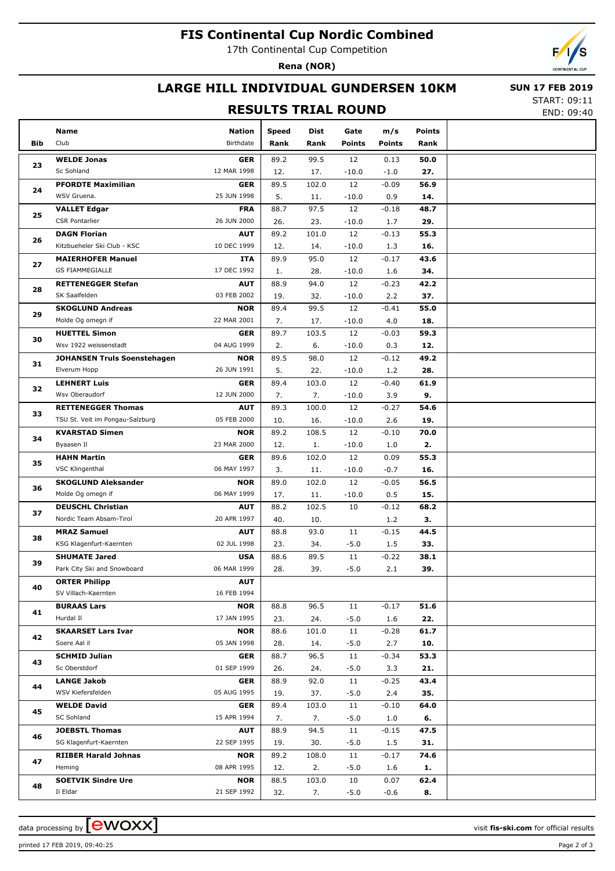# **FIS Continental Cup Nordic Combined**

17th Continental Cup Competition

**Rena (NOR)**

#### **LARGE HILL INDIVIDUAL GUNDERSEN 10KM**

#### **RESULTS TRIAL ROUND**

 **SUN 17 FEB 2019** START: 09:11

END: 09:40

|          | Name                                | Nation                    | Speed | Dist  | Gate          | m/s           | <b>Points</b> |  |
|----------|-------------------------------------|---------------------------|-------|-------|---------------|---------------|---------------|--|
| Bib      | Club                                | Birthdate                 | Rank  | Rank  | <b>Points</b> | <b>Points</b> | Rank          |  |
|          | <b>WELDE Jonas</b>                  | <b>GER</b>                | 89.2  | 99.5  | 12            | 0.13          | 50.0          |  |
| 23       | Sc Sohland                          | 12 MAR 1998               | 12.   | 17.   | $-10.0$       | $-1.0$        | 27.           |  |
|          | <b>PFORDTE Maximilian</b>           | <b>GER</b>                | 89.5  | 102.0 | 12            | $-0.09$       | 56.9          |  |
| 24       | WSV Gruena.                         | 25 JUN 1998               | 5.    | 11.   | $-10.0$       | 0.9           | 14.           |  |
|          | <b>VALLET Edgar</b>                 | <b>FRA</b>                | 88.7  | 97.5  | 12            | $-0.18$       | 48.7          |  |
| 25       | <b>CSR Pontarlier</b>               | 26 JUN 2000               | 26.   | 23.   | $-10.0$       | 1.7           | 29.           |  |
|          | <b>DAGN Florian</b>                 | <b>AUT</b>                | 89.2  | 101.0 | 12            | $-0.13$       | 55.3          |  |
| 26       | Kitzbueheler Ski Club - KSC         | 10 DEC 1999               | 12.   | 14.   | $-10.0$       | 1.3           | 16.           |  |
|          | <b>MAIERHOFER Manuel</b>            | ITA                       | 89.9  | 95.0  | 12            | $-0.17$       | 43.6          |  |
| 27       | <b>GS FIAMMEGIALLE</b>              | 17 DEC 1992               | 1.    | 28.   | $-10.0$       | 1.6           | 34.           |  |
|          | <b>RETTENEGGER Stefan</b>           | <b>AUT</b>                | 88.9  | 94.0  | 12            | $-0.23$       | 42.2          |  |
| 28       | SK Saalfelden                       | 03 FEB 2002               | 19.   | 32.   | $-10.0$       | 2.2           | 37.           |  |
|          | <b>SKOGLUND Andreas</b>             | <b>NOR</b>                | 89.4  | 99.5  | 12            | $-0.41$       | 55.0          |  |
| 29       | Molde Og omegn if                   | 22 MAR 2001               | 7.    | 17.   | $-10.0$       | 4.0           | 18.           |  |
|          | <b>HUETTEL Simon</b>                | <b>GER</b>                | 89.7  | 103.5 | 12            | $-0.03$       | 59.3          |  |
| 30       | Wsv 1922 weissenstadt               | 04 AUG 1999               | 2.    | 6.    | $-10.0$       | 0.3           | 12.           |  |
|          | <b>JOHANSEN Truls Soenstehagen</b>  | <b>NOR</b>                | 89.5  | 98.0  | 12            | $-0.12$       | 49.2          |  |
| 31       | Elverum Hopp                        | 26 JUN 1991               | 5.    | 22.   | $-10.0$       | 1.2           | 28.           |  |
|          | <b>LEHNERT Luis</b>                 | <b>GER</b>                | 89.4  | 103.0 | 12            | $-0.40$       | 61.9          |  |
| 32       | Wsv Oberaudorf                      | 12 JUN 2000               | 7.    | 7.    | $-10.0$       | 3.9           | 9.            |  |
|          | <b>RETTENEGGER Thomas</b>           | <b>AUT</b>                | 89.3  | 100.0 | 12            | $-0.27$       | 54.6          |  |
| 33       | TSU St. Veit im Pongau-Salzburg     | 05 FEB 2000               | 10.   | 16.   | $-10.0$       | 2.6           | 19.           |  |
|          |                                     |                           |       |       |               |               |               |  |
| 34       | <b>KVARSTAD Simen</b><br>Byaasen Il | <b>NOR</b><br>23 MAR 2000 | 89.2  | 108.5 | 12            | $-0.10$       | 70.0          |  |
| 35<br>36 |                                     |                           | 12.   | 1.    | $-10.0$       | 1.0           | 2.            |  |
|          | <b>HAHN Martin</b>                  | <b>GER</b>                | 89.6  | 102.0 | 12            | 0.09          | 55.3          |  |
|          | VSC Klingenthal                     | 06 MAY 1997               | 3.    | 11.   | $-10.0$       | $-0.7$        | 16.           |  |
|          | <b>SKOGLUND Aleksander</b>          | <b>NOR</b>                | 89.0  | 102.0 | 12            | $-0.05$       | 56.5          |  |
|          | Molde Og omegn if                   | 06 MAY 1999               | 17.   | 11.   | $-10.0$       | 0.5           | 15.           |  |
| 37       | <b>DEUSCHL Christian</b>            | <b>AUT</b>                | 88.2  | 102.5 | 10            | $-0.12$       | 68.2          |  |
|          | Nordic Team Absam-Tirol             | 20 APR 1997               | 40.   | 10.   |               | 1.2           | З.            |  |
| 38       | <b>MRAZ Samuel</b>                  | <b>AUT</b>                | 88.8  | 93.0  | 11            | $-0.15$       | 44.5          |  |
|          | KSG Klagenfurt-Kaernten             | 02 JUL 1998               | 23.   | 34.   | $-5.0$        | 1.5           | 33.           |  |
| 39       | <b>SHUMATE Jared</b>                | <b>USA</b>                | 88.6  | 89.5  | 11            | $-0.22$       | 38.1          |  |
|          | Park City Ski and Snowboard         | 06 MAR 1999               | 28.   | 39.   | $-5.0$        | 2.1           | 39.           |  |
| 40       | <b>ORTER Philipp</b>                | <b>AUT</b>                |       |       |               |               |               |  |
|          | SV Villach-Kaernten                 | 16 FEB 1994               |       |       |               |               |               |  |
| 41       | <b>BURAAS Lars</b>                  | <b>NOR</b>                | 88.8  | 96.5  | 11            | $-0.17$       | 51.6          |  |
|          | Hurdal II                           | 17 JAN 1995               | 23.   | 24.   | $-5.0$        | 1.6           | 22.           |  |
| 42       | <b>SKAARSET Lars Ivar</b>           | <b>NOR</b>                | 88.6  | 101.0 | 11            | $-0.28$       | 61.7          |  |
|          | Soere Aal il                        | 05 JAN 1998               | 28.   | 14.   | $-5.0$        | 2.7           | 10.           |  |
| 43       | <b>SCHMID Julian</b>                | <b>GER</b>                | 88.7  | 96.5  | 11            | $-0.34$       | 53.3          |  |
|          | Sc Oberstdorf                       | 01 SEP 1999               | 26.   | 24.   | $-5.0$        | 3.3           | 21.           |  |
| 44       | <b>LANGE Jakob</b>                  | <b>GER</b>                | 88.9  | 92.0  | 11            | $-0.25$       | 43.4          |  |
|          | WSV Kiefersfelden                   | 05 AUG 1995               | 19.   | 37.   | $-5.0$        | 2.4           | 35.           |  |
| 45       | <b>WELDE David</b>                  | <b>GER</b>                | 89.4  | 103.0 | 11            | $-0.10$       | 64.0          |  |
|          | SC Sohland                          | 15 APR 1994               | 7.    | 7.    | $-5.0$        | 1.0           | 6.            |  |
| 46       | <b>JOEBSTL Thomas</b>               | <b>AUT</b>                | 88.9  | 94.5  | 11            | $-0.15$       | 47.5          |  |
|          | SG Klagenfurt-Kaernten              | 22 SEP 1995               | 19.   | 30.   | $-5.0$        | 1.5           | 31.           |  |
| 47       | <b>RIIBER Harald Johnas</b>         | <b>NOR</b>                | 89.2  | 108.0 | 11            | $-0.17$       | 74.6          |  |
|          | Heming                              | 08 APR 1995               | 12.   | 2.    | $-5.0$        | 1.6           | 1.            |  |
| 48       | <b>SOETVIK Sindre Ure</b>           | <b>NOR</b>                | 88.5  | 103.0 | 10            | 0.07          | 62.4          |  |
|          | Il Eldar                            | 21 SEP 1992               | 32.   | 7.    | $-5.0$        | $-0.6$        | 8.            |  |

printed 17 FEB 2019, 09:40:25 Page 2 of 3

data processing by **CWOXX** and  $\overline{C}$  and  $\overline{C}$  and  $\overline{C}$  and  $\overline{C}$  and  $\overline{C}$  and  $\overline{C}$  and  $\overline{C}$  and  $\overline{C}$  and  $\overline{C}$  and  $\overline{C}$  and  $\overline{C}$  and  $\overline{C}$  and  $\overline{C}$  and  $\overline{C}$  and  $\overline{C}$